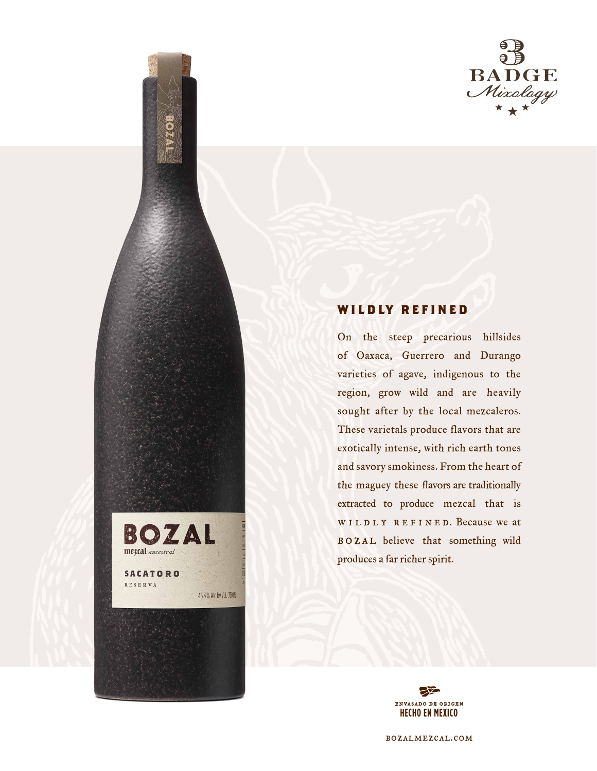

# **WILDLY REFINED**

BOZAL

46.3% Alc. by Vol. 750 M.

meztal ancestral

**SACATORO RESERVA** 

On the steep precarious hillsides of Oaxaca, Guerrero and Durango varieties of agave, indigenous to the region, grow wild and are heavily sought after by the local mezcaleros. These varietals produce flavors that are exotically intense, with rich earth tones and savory smokiness. From the heart of the maguey these flavors are traditionally extracted to produce mezcal that is WILDLY REFINED. Because we at BOZAL believe that something wild produces a far richer spirit.



bozalmezcal.com